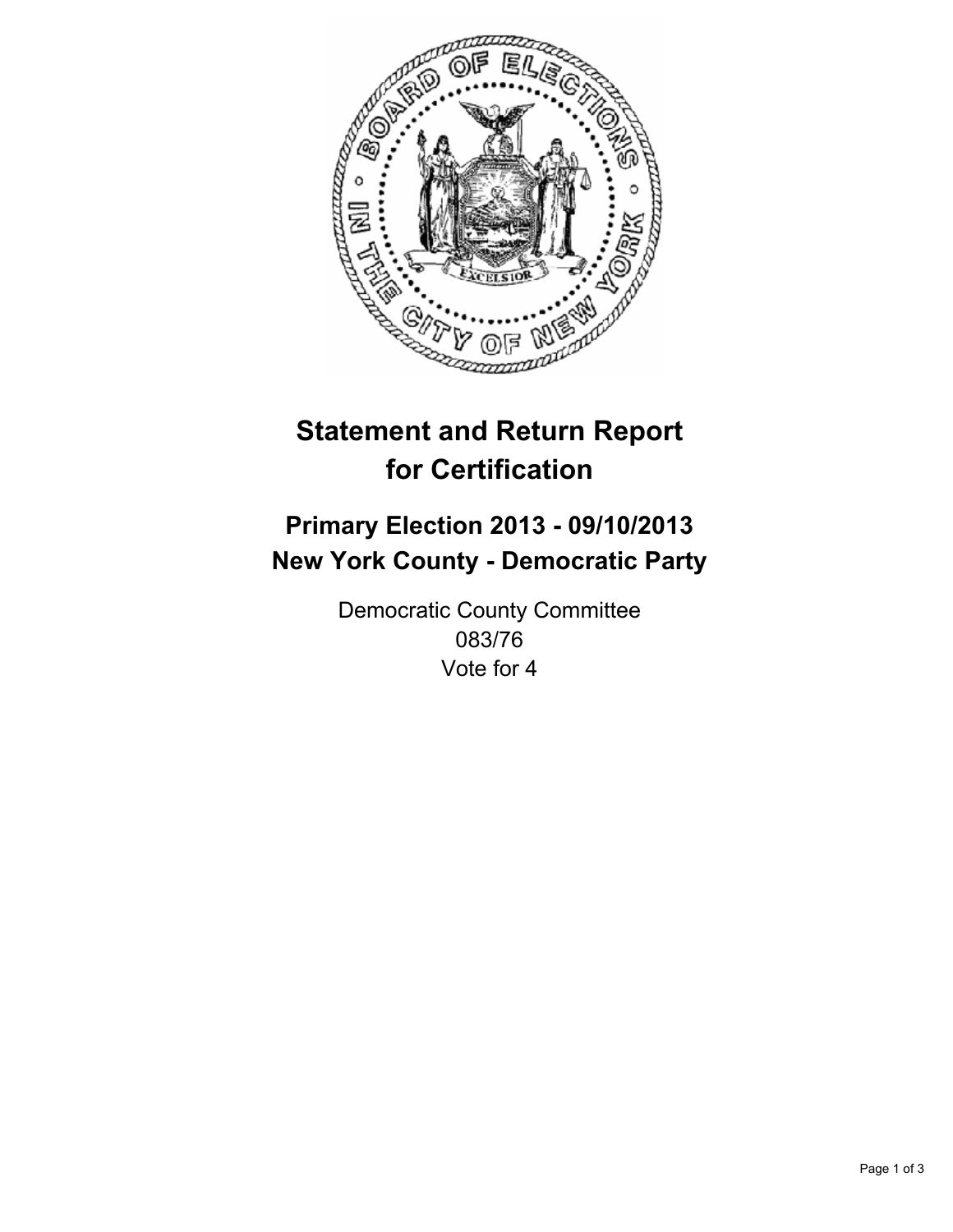

# **Statement and Return Report for Certification**

# **Primary Election 2013 - 09/10/2013 New York County - Democratic Party**

Democratic County Committee 083/76 Vote for 4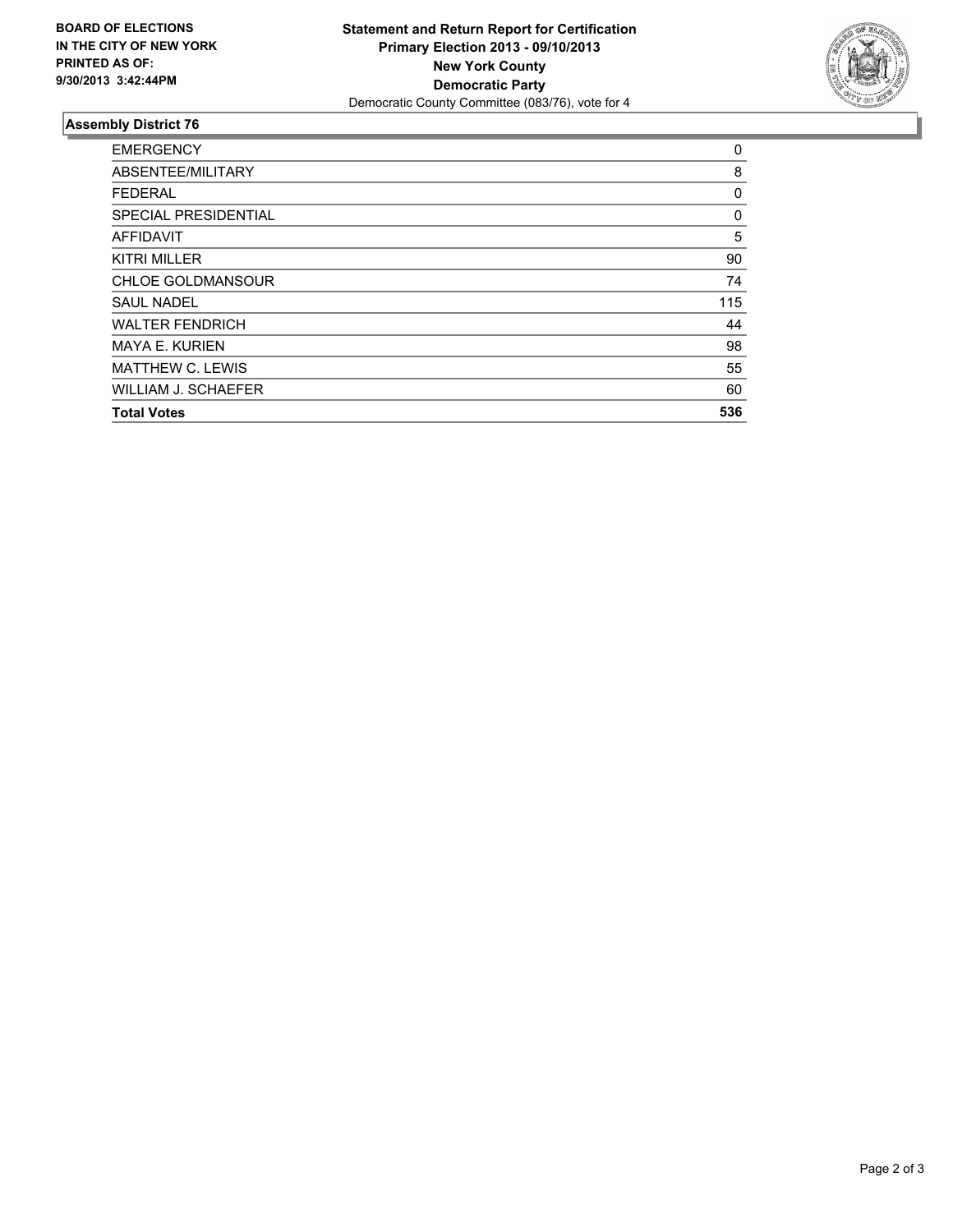

## **Assembly District 76**

| <b>EMERGENCY</b>            | 0   |
|-----------------------------|-----|
| ABSENTEE/MILITARY           | 8   |
| <b>FEDERAL</b>              | 0   |
| <b>SPECIAL PRESIDENTIAL</b> | 0   |
| <b>AFFIDAVIT</b>            | 5   |
| <b>KITRI MILLER</b>         | 90  |
| <b>CHLOE GOLDMANSOUR</b>    | 74  |
| <b>SAUL NADEL</b>           | 115 |
| <b>WALTER FENDRICH</b>      | 44  |
| <b>MAYA E. KURIEN</b>       | 98  |
| <b>MATTHEW C. LEWIS</b>     | 55  |
| WILLIAM J. SCHAEFER         | 60  |
| <b>Total Votes</b>          | 536 |